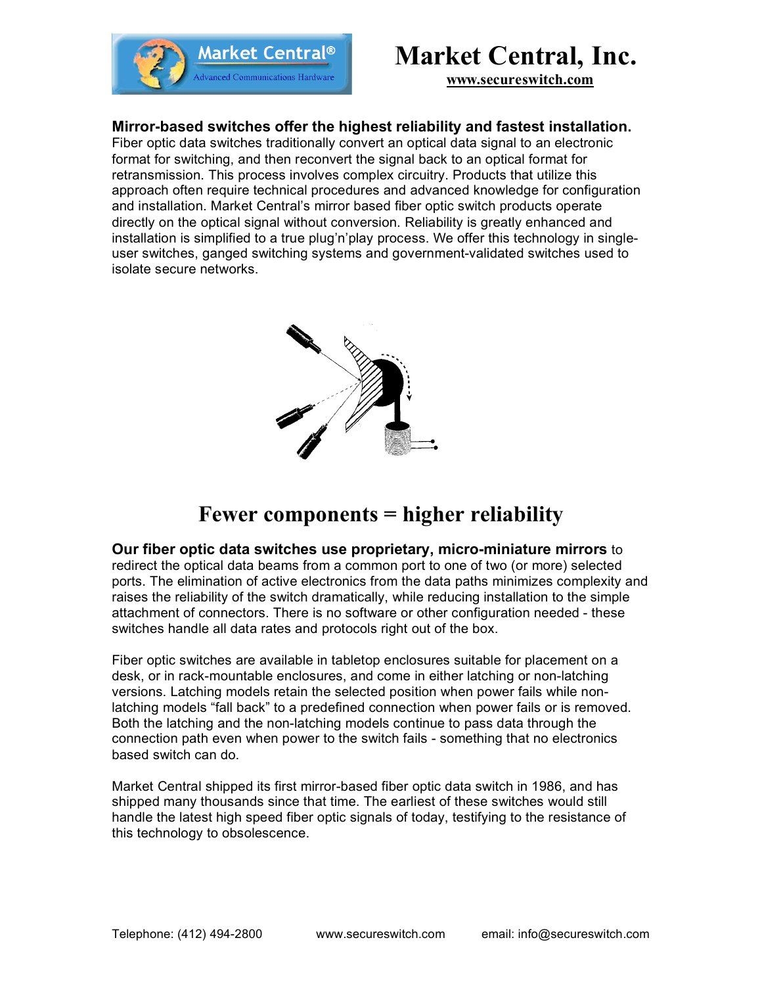



**www.secureswitch.com**

# **Mirror-based switches offer the highest reliability and fastest installation.**

Fiber optic data switches traditionally convert an optical data signal to an electronic format for switching, and then reconvert the signal back to an optical format for retransmission. This process involves complex circuitry. Products that utilize this approach often require technical procedures and advanced knowledge for configuration and installation. Market Central's mirror based fiber optic switch products operate directly on the optical signal without conversion. Reliability is greatly enhanced and installation is simplified to a true plug'n'play process. We offer this technology in singleuser switches, ganged switching systems and government-validated switches used to isolate secure networks.



# **Fewer components = higher reliability**

**Our fiber optic data switches use proprietary, micro-miniature mirrors** to redirect the optical data beams from a common port to one of two (or more) selected ports. The elimination of active electronics from the data paths minimizes complexity and raises the reliability of the switch dramatically, while reducing installation to the simple attachment of connectors. There is no software or other configuration needed - these switches handle all data rates and protocols right out of the box.

Fiber optic switches are available in tabletop enclosures suitable for placement on a desk, or in rack-mountable enclosures, and come in either latching or non-latching versions. Latching models retain the selected position when power fails while nonlatching models "fall back" to a predefined connection when power fails or is removed. Both the latching and the non-latching models continue to pass data through the connection path even when power to the switch fails - something that no electronics based switch can do.

Market Central shipped its first mirror-based fiber optic data switch in 1986, and has shipped many thousands since that time. The earliest of these switches would still handle the latest high speed fiber optic signals of today, testifying to the resistance of this technology to obsolescence.